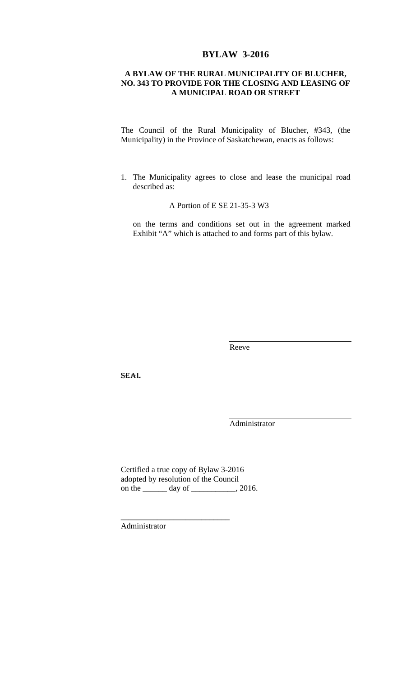## **BYLAW 3-2016**

### **A BYLAW OF THE RURAL MUNICIPALITY OF BLUCHER, NO. 343 TO PROVIDE FOR THE CLOSING AND LEASING OF A MUNICIPAL ROAD OR STREET**

The Council of the Rural Municipality of Blucher, #343, (the Municipality) in the Province of Saskatchewan, enacts as follows:

1. The Municipality agrees to close and lease the municipal road described as:

A Portion of E SE 21-35-3 W3

on the terms and conditions set out in the agreement marked Exhibit "A" which is attached to and forms part of this bylaw.

Reeve

SEAL

Administrator

Certified a true copy of Bylaw 3-2016 adopted by resolution of the Council on the \_\_\_\_\_\_\_ day of \_\_\_\_\_\_\_\_\_, 2016.

\_\_\_\_\_\_\_\_\_\_\_\_\_\_\_\_\_\_\_\_\_\_\_\_\_\_\_

Administrator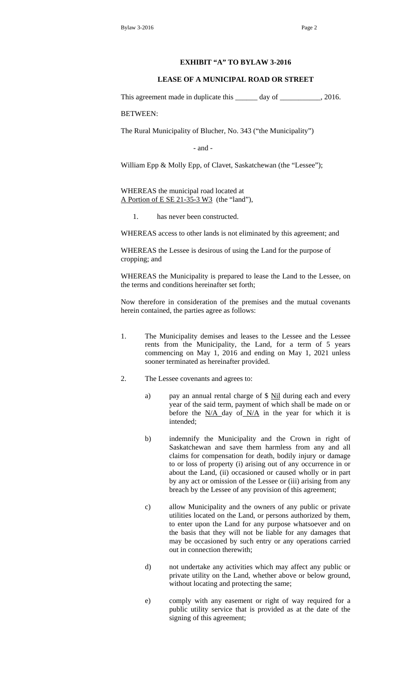#### **EXHIBIT "A" TO BYLAW 3-2016**

#### **LEASE OF A MUNICIPAL ROAD OR STREET**

This agreement made in duplicate this \_\_\_\_\_\_ day of \_\_\_\_\_\_\_\_\_\_, 2016.

BETWEEN:

The Rural Municipality of Blucher, No. 343 ("the Municipality")

- and -

William Epp & Molly Epp, of Clavet, Saskatchewan (the "Lessee");

WHEREAS the municipal road located at A Portion of E SE 21-35-3 W3 (the "land"),

1. has never been constructed.

WHEREAS access to other lands is not eliminated by this agreement; and

WHEREAS the Lessee is desirous of using the Land for the purpose of cropping; and

WHEREAS the Municipality is prepared to lease the Land to the Lessee, on the terms and conditions hereinafter set forth;

Now therefore in consideration of the premises and the mutual covenants herein contained, the parties agree as follows:

- 1. The Municipality demises and leases to the Lessee and the Lessee rents from the Municipality, the Land, for a term of 5 years commencing on May 1, 2016 and ending on May 1, 2021 unless sooner terminated as hereinafter provided.
- 2. The Lessee covenants and agrees to:
	- a) pay an annual rental charge of \$ Nil during each and every year of the said term, payment of which shall be made on or before the  $N/A$  day of  $N/A$  in the year for which it is intended;
	- b) indemnify the Municipality and the Crown in right of Saskatchewan and save them harmless from any and all claims for compensation for death, bodily injury or damage to or loss of property (i) arising out of any occurrence in or about the Land, (ii) occasioned or caused wholly or in part by any act or omission of the Lessee or (iii) arising from any breach by the Lessee of any provision of this agreement;
	- c) allow Municipality and the owners of any public or private utilities located on the Land, or persons authorized by them, to enter upon the Land for any purpose whatsoever and on the basis that they will not be liable for any damages that may be occasioned by such entry or any operations carried out in connection therewith;
	- d) not undertake any activities which may affect any public or private utility on the Land, whether above or below ground, without locating and protecting the same;
	- e) comply with any easement or right of way required for a public utility service that is provided as at the date of the signing of this agreement;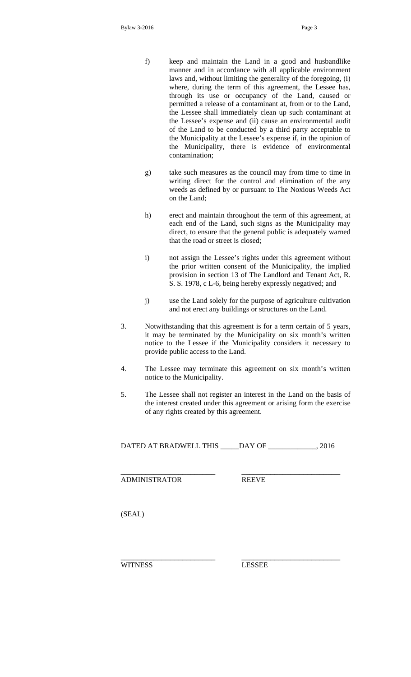- f) keep and maintain the Land in a good and husbandlike manner and in accordance with all applicable environment laws and, without limiting the generality of the foregoing, (i) where, during the term of this agreement, the Lessee has, through its use or occupancy of the Land, caused or permitted a release of a contaminant at, from or to the Land, the Lessee shall immediately clean up such contaminant at the Lessee's expense and (ii) cause an environmental audit of the Land to be conducted by a third party acceptable to the Municipality at the Lessee's expense if, in the opinion of the Municipality, there is evidence of environmental contamination;
- g) take such measures as the council may from time to time in writing direct for the control and elimination of the any weeds as defined by or pursuant to The Noxious Weeds Act on the Land;
- h) erect and maintain throughout the term of this agreement, at each end of the Land, such signs as the Municipality may direct, to ensure that the general public is adequately warned that the road or street is closed;
- i) not assign the Lessee's rights under this agreement without the prior written consent of the Municipality, the implied provision in section 13 of The Landlord and Tenant Act, R. S. S. 1978, c L-6, being hereby expressly negatived; and
- j) use the Land solely for the purpose of agriculture cultivation and not erect any buildings or structures on the Land.
- 3. Notwithstanding that this agreement is for a term certain of 5 years, it may be terminated by the Municipality on six month's written notice to the Lessee if the Municipality considers it necessary to provide public access to the Land.
- 4. The Lessee may terminate this agreement on six month's written notice to the Municipality.
- 5. The Lessee shall not register an interest in the Land on the basis of the interest created under this agreement or arising form the exercise of any rights created by this agreement.

DATED AT BRADWELL THIS \_\_\_\_\_DAY OF \_\_\_\_\_\_\_\_\_\_\_\_\_, 2016

\_\_\_\_\_\_\_\_\_\_\_\_\_\_\_\_\_\_\_\_\_\_\_ \_\_\_\_\_\_\_\_\_\_\_\_\_\_\_\_\_\_\_\_\_\_\_\_

ADMINISTRATOR REEVE

(SEAL)

WITNESS LESSEE

\_\_\_\_\_\_\_\_\_\_\_\_\_\_\_\_\_\_\_\_\_\_\_ \_\_\_\_\_\_\_\_\_\_\_\_\_\_\_\_\_\_\_\_\_\_\_\_